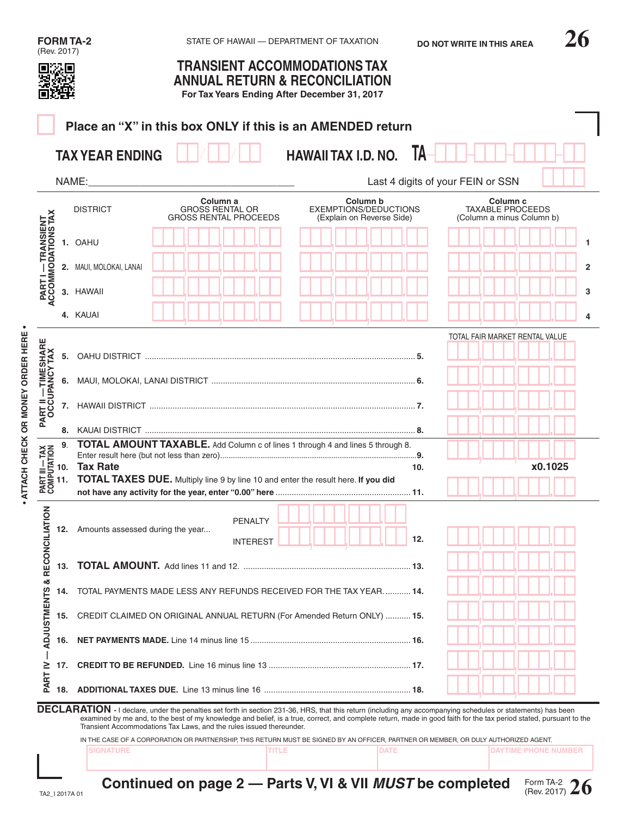|                                                                                                                                                                                                                                                                                                                                                                                                            |     | <b>FORM TA-2</b>                 | STATE OF HAWAII - DEPARTMENT OF TAXATION                                                                                            |                            |                                                                | <b>DO NOT WRITE IN THIS AREA</b>                                            |                |
|------------------------------------------------------------------------------------------------------------------------------------------------------------------------------------------------------------------------------------------------------------------------------------------------------------------------------------------------------------------------------------------------------------|-----|----------------------------------|-------------------------------------------------------------------------------------------------------------------------------------|----------------------------|----------------------------------------------------------------|-----------------------------------------------------------------------------|----------------|
| (Rev. 2017)<br><b>TRANSIENT ACCOMMODATIONS TAX</b><br><b>ANNUAL RETURN &amp; RECONCILIATION</b><br>For Tax Years Ending After December 31, 2017                                                                                                                                                                                                                                                            |     |                                  |                                                                                                                                     |                            |                                                                |                                                                             |                |
|                                                                                                                                                                                                                                                                                                                                                                                                            |     |                                  | Place an "X" in this box ONLY if this is an AMENDED return                                                                          |                            |                                                                |                                                                             |                |
|                                                                                                                                                                                                                                                                                                                                                                                                            |     | <b>TAX YEAR ENDING</b>           |                                                                                                                                     | <b>HAWAII TAX I.D. NO.</b> | Ta                                                             |                                                                             |                |
|                                                                                                                                                                                                                                                                                                                                                                                                            |     | NAME:                            |                                                                                                                                     |                            |                                                                | Last 4 digits of your FEIN or SSN                                           |                |
|                                                                                                                                                                                                                                                                                                                                                                                                            |     | <b>DISTRICT</b>                  | Column a<br><b>GROSS RENTAL OR</b><br><b>GROSS RENTAL PROCEEDS</b>                                                                  |                            | Column b<br>EXEMPTIONS/DEDUCTIONS<br>(Explain on Reverse Side) | Column <sub>c</sub><br><b>TAXABLE PROCEEDS</b><br>(Column a minus Column b) |                |
| <b>PART I — TRANSIENT<br/>ACCOMMODATIONS TAX</b>                                                                                                                                                                                                                                                                                                                                                           |     | 1. OAHU                          |                                                                                                                                     |                            |                                                                |                                                                             | 1              |
|                                                                                                                                                                                                                                                                                                                                                                                                            |     | 2. MAUI, MOLOKAI, LANAI          |                                                                                                                                     |                            |                                                                |                                                                             | $\overline{2}$ |
|                                                                                                                                                                                                                                                                                                                                                                                                            |     | 3. HAWAII                        |                                                                                                                                     |                            |                                                                |                                                                             | 3              |
|                                                                                                                                                                                                                                                                                                                                                                                                            |     | 4. KAUAI                         |                                                                                                                                     |                            |                                                                |                                                                             | 4              |
| <b>PART II — TIMESHARE<br/>OCCUPANCY TAX</b>                                                                                                                                                                                                                                                                                                                                                               | 5.  |                                  |                                                                                                                                     |                            |                                                                | TOTAL FAIR MARKET RENTAL VALUE                                              |                |
|                                                                                                                                                                                                                                                                                                                                                                                                            |     |                                  |                                                                                                                                     |                            |                                                                |                                                                             |                |
|                                                                                                                                                                                                                                                                                                                                                                                                            |     |                                  |                                                                                                                                     |                            |                                                                |                                                                             |                |
|                                                                                                                                                                                                                                                                                                                                                                                                            |     |                                  |                                                                                                                                     |                            |                                                                |                                                                             |                |
|                                                                                                                                                                                                                                                                                                                                                                                                            | 9.  |                                  | <b>TOTAL AMOUNT TAXABLE.</b> Add Column c of lines 1 through 4 and lines 5 through 8.                                               |                            |                                                                |                                                                             |                |
| ت -                                                                                                                                                                                                                                                                                                                                                                                                        |     | 10. Tax Rate                     | TOTAL TAXES DUE. Multiply line 9 by line 10 and enter the result here. If you did                                                   | 10.                        |                                                                | x0.1025                                                                     |                |
| RECONCILIATION                                                                                                                                                                                                                                                                                                                                                                                             | 12. | Amounts assessed during the year | <b>PENALTY</b><br><b>INTEREST</b>                                                                                                   |                            | 12.                                                            |                                                                             |                |
|                                                                                                                                                                                                                                                                                                                                                                                                            | 13. |                                  |                                                                                                                                     |                            |                                                                |                                                                             |                |
| જ                                                                                                                                                                                                                                                                                                                                                                                                          | 14. |                                  | TOTAL PAYMENTS MADE LESS ANY REFUNDS RECEIVED FOR THE TAX YEAR 14.                                                                  |                            |                                                                |                                                                             |                |
| <b>ADJUSTMENTS</b>                                                                                                                                                                                                                                                                                                                                                                                         | 15. |                                  | CREDIT CLAIMED ON ORIGINAL ANNUAL RETURN (For Amended Return ONLY)  15.                                                             |                            |                                                                |                                                                             |                |
|                                                                                                                                                                                                                                                                                                                                                                                                            | 16. |                                  |                                                                                                                                     |                            |                                                                |                                                                             |                |
| <b>PARTIV</b>                                                                                                                                                                                                                                                                                                                                                                                              | 17. |                                  |                                                                                                                                     |                            |                                                                |                                                                             |                |
|                                                                                                                                                                                                                                                                                                                                                                                                            | 18. |                                  |                                                                                                                                     |                            |                                                                |                                                                             |                |
| DECLARATION - I declare, under the penalties set forth in section 231-36, HRS, that this return (including any accompanying schedules or statements) has been<br>examined by me and, to the best of my knowledge and belief, is a true, correct, and complete return, made in good faith for the tax period stated, pursuant to the<br>Transient Accommodations Tax Laws, and the rules issued thereunder. |     |                                  |                                                                                                                                     |                            |                                                                |                                                                             |                |
|                                                                                                                                                                                                                                                                                                                                                                                                            |     | <b>SIGNATURE</b>                 | IN THE CASE OF A CORPORATION OR PARTNERSHIP, THIS RETURN MUST BE SIGNED BY AN OFFICER, PARTNER OR MEMBER, OR DULY AUTHORIZED AGENT. | <b>TITLE</b>               | DATE                                                           | <b>DAYTIME PHONE NUMBER</b>                                                 |                |

Form TA-2 (Rev. 2017) **26 Continued on page 2 — Parts V, VI & VII** *MUST* **be completed**

**• ATTACH CHECK OR MONEY ORDER HERE •**

· ATTACH CHECK OR MONEY ORDER HERE ·